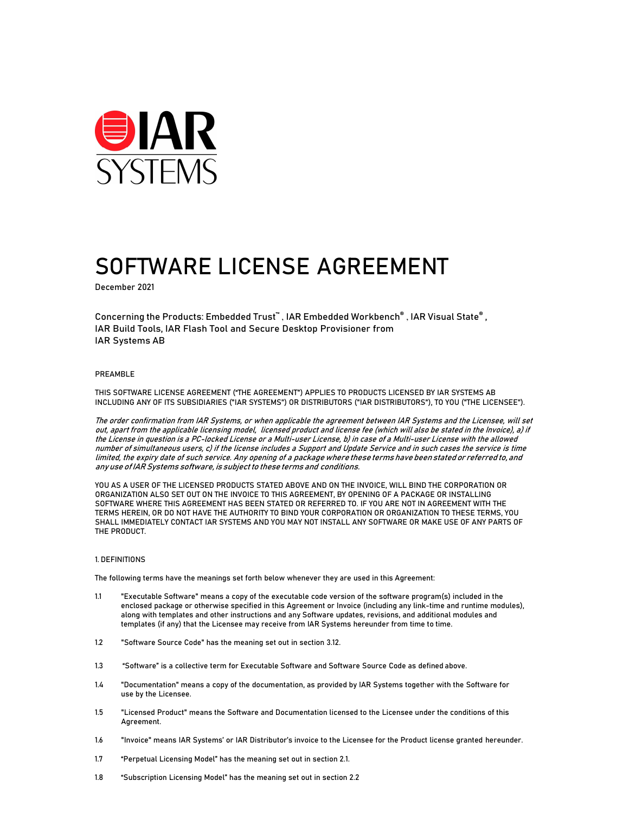

# SOFTWARE LICENSE AGREEMENT

December 2021

Concerning the Products: Embedded Trust™, IAR Embedded Workbench®, IAR Visual State®, IAR Build Tools, IAR Flash Tool and Secure Desktop Provisioner from IAR Systems AB

#### PREAMBLE

THIS SOFTWARE LICENSE AGREEMENT ("THE AGREEMENT") APPLIES TO PRODUCTS LICENSED BY IAR SYSTEMS AB INCLUDING ANY OF ITS SUBSIDIARIES ("IAR SYSTEMS") OR DISTRIBUTORS ("IAR DISTRIBUTORS"), TO YOU ("THE LICENSEE").

The order confirmation from IAR Systems, or when applicable the agreement between IAR Systems and the Licensee, will set out, apart from the applicable licensing model, licensed product and license fee (which will also be stated in the Invoice), a) if the License in question is a PC-locked License or a Multi-user License, b) in case of a Multi-user License with the allowed number of simultaneous users, c) if the license includes a Support and Update Service and in such cases the service is time limited, the expiry date of such service. Any opening of a package where these terms have been stated or referred to, and any use of IAR Systems software, is subject to these terms and conditions.

YOU AS A USER OF THE LICENSED PRODUCTS STATED ABOVE AND ON THE INVOICE, WILL BIND THE CORPORATION OR ORGANIZATION ALSO SET OUT ON THE INVOICE TO THIS AGREEMENT, BY OPENING OF A PACKAGE OR INSTALLING SOFTWARE WHERE THIS AGREEMENT HAS BEEN STATED OR REFERRED TO. IF YOU ARE NOT IN AGREEMENT WITH THE TERMS HEREIN, OR DO NOT HAVE THE AUTHORITY TO BIND YOUR CORPORATION OR ORGANIZATION TO THESE TERMS, YOU SHALL IMMEDIATELY CONTACT IAR SYSTEMS AND YOU MAY NOT INSTALL ANY SOFTWARE OR MAKE USE OF ANY PARTS OF THE PRODUCT.

# 1. DEFINITIONS

The following terms have the meanings set forth below whenever they are used in this Agreement:

- 1.1 "Executable Software" means a copy of the executable code version of the software program(s) included in the enclosed package or otherwise specified in this Agreement or Invoice (including any link-time and runtime modules), along with templates and other instructions and any Software updates, revisions, and additional modules and templates (if any) that the Licensee may receive from IAR Systems hereunder from time to time.
- 1.2 "Software Source Code" has the meaning set out in section 3.12.
- 1.3 "Software" is a collective term for Executable Software and Software Source Code as defined above.
- 1.4 "Documentation" means a copy of the documentation, as provided by IAR Systems together with the Software for use by the Licensee.
- 1.5 "Licensed Product" means the Software and Documentation licensed to the Licensee under the conditions of this Agreement.
- 1.6 "Invoice" means IAR Systems' or IAR Distributor's invoice to the Licensee for the Product license granted hereunder.
- 1.7 "Perpetual Licensing Model" has the meaning set out in section 2.1.
- 1.8 "Subscription Licensing Model" has the meaning set out in section 2.2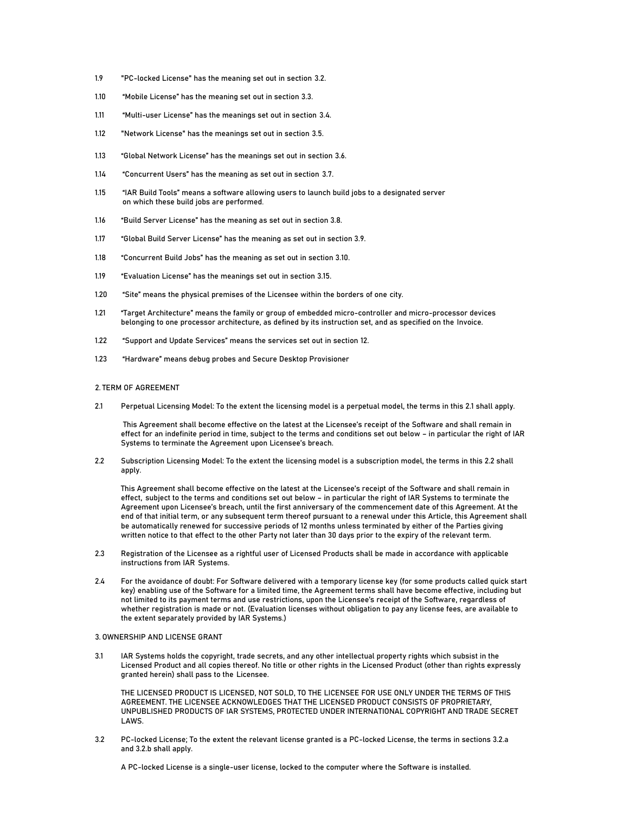- 1.9 "PC-locked License" has the meaning set out in section 3.2.
- 1.10 "Mobile License" has the meaning set out in section 3.3.
- 1.11 "Multi-user License" has the meanings set out in section 3.4.
- 1.12 "Network License" has the meanings set out in section 3.5.
- 1.13 "Global Network License" has the meanings set out in section 3.6.
- 1.14 "Concurrent Users" has the meaning as set out in section 3.7.
- 1.15 "IAR Build Tools" means a software allowing users to launch build jobs to a designated server on which these build jobs are performed.
- 1.16 "Build Server License" has the meaning as set out in section 3.8.
- 1.17 "Global Build Server License" has the meaning as set out in section 3.9.
- 1.18 "Concurrent Build Jobs" has the meaning as set out in section 3.10.
- 1.19 "Evaluation License" has the meanings set out in section 3.15.
- 1.20 "Site" means the physical premises of the Licensee within the borders of one city.
- 1.21 "Target Architecture" means the family or group of embedded micro-controller and micro-processor devices belonging to one processor architecture, as defined by its instruction set, and as specified on the Invoice.
- 1.22 "Support and Update Services" means the services set out in section 12.
- 1.23 "Hardware" means debug probes and Secure Desktop Provisioner

#### 2. TERM OF AGREEMENT

2.1 Perpetual Licensing Model: To the extent the licensing model is a perpetual model, the terms in this 2.1 shall apply.

 This Agreement shall become effective on the latest at the Licensee's receipt of the Software and shall remain in effect for an indefinite period in time, subject to the terms and conditions set out below – in particular the right of IAR Systems to terminate the Agreement upon Licensee's breach.

2.2 Subscription Licensing Model: To the extent the licensing model is a subscription model, the terms in this 2.2 shall apply.

This Agreement shall become effective on the latest at the Licensee's receipt of the Software and shall remain in effect, subject to the terms and conditions set out below – in particular the right of IAR Systems to terminate the Agreement upon Licensee's breach, until the first anniversary of the commencement date of this Agreement. At the end of that initial term, or any subsequent term thereof pursuant to a renewal under this Article, this Agreement shall be automatically renewed for successive periods of 12 months unless terminated by either of the Parties giving written notice to that effect to the other Party not later than 30 days prior to the expiry of the relevant term.

- 2.3 Registration of the Licensee as a rightful user of Licensed Products shall be made in accordance with applicable instructions from IAR Systems.
- 2.4 For the avoidance of doubt: For Software delivered with a temporary license key (for some products called quick start key) enabling use of the Software for a limited time, the Agreement terms shall have become effective, including but not limited to its payment terms and use restrictions, upon the Licensee's receipt of the Software, regardless of whether registration is made or not. (Evaluation licenses without obligation to pay any license fees, are available to the extent separately provided by IAR Systems.)

# 3. OWNERSHIP AND LICENSE GRANT

3.1 IAR Systems holds the copyright, trade secrets, and any other intellectual property rights which subsist in the Licensed Product and all copies thereof. No title or other rights in the Licensed Product (other than rights expressly granted herein) shall pass to the Licensee.

THE LICENSED PRODUCT IS LICENSED, NOT SOLD, TO THE LICENSEE FOR USE ONLY UNDER THE TERMS OF THIS AGREEMENT. THE LICENSEE ACKNOWLEDGES THAT THE LICENSED PRODUCT CONSISTS OF PROPRIETARY, UNPUBLISHED PRODUCTS OF IAR SYSTEMS, PROTECTED UNDER INTERNATIONAL COPYRIGHT AND TRADE SECRET LAWS.

3.2 PC-locked License; To the extent the relevant license granted is a PC-locked License, the terms in sections 3.2.a and 3.2.b shall apply.

A PC-locked License is a single-user license, locked to the computer where the Software is installed.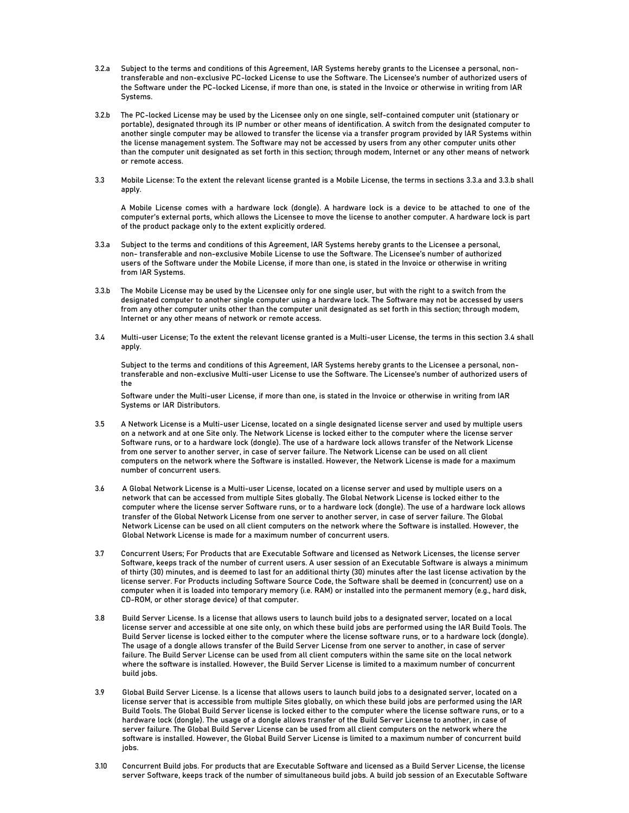- 3.2.a Subject to the terms and conditions of this Agreement, IAR Systems hereby grants to the Licensee a personal, nontransferable and non-exclusive PC-locked License to use the Software. The Licensee's number of authorized users of the Software under the PC-locked License, if more than one, is stated in the Invoice or otherwise in writing from IAR Systems.
- 3.2.b The PC-locked License may be used by the Licensee only on one single, self-contained computer unit (stationary or portable), designated through its IP number or other means of identification. A switch from the designated computer to another single computer may be allowed to transfer the license via a transfer program provided by IAR Systems within the license management system. The Software may not be accessed by users from any other computer units other than the computer unit designated as set forth in this section; through modem, Internet or any other means of network or remote access.
- 3.3 Mobile License: To the extent the relevant license granted is a Mobile License, the terms in sections 3.3.a and 3.3.b shall apply.

A Mobile License comes with a hardware lock (dongle). A hardware lock is a device to be attached to one of the computer's external ports, which allows the Licensee to move the license to another computer. A hardware lock is part of the product package only to the extent explicitly ordered.

- 3.3.a Subject to the terms and conditions of this Agreement, IAR Systems hereby grants to the Licensee a personal, non- transferable and non-exclusive Mobile License to use the Software. The Licensee's number of authorized users of the Software under the Mobile License, if more than one, is stated in the Invoice or otherwise in writing from IAR Systems.
- 3.3.b The Mobile License may be used by the Licensee only for one single user, but with the right to a switch from the designated computer to another single computer using a hardware lock. The Software may not be accessed by users from any other computer units other than the computer unit designated as set forth in this section; through modem, Internet or any other means of network or remote access.
- 3.4 Multi-user License; To the extent the relevant license granted is a Multi-user License, the terms in this section 3.4 shall apply.

Subject to the terms and conditions of this Agreement, IAR Systems hereby grants to the Licensee a personal, nontransferable and non-exclusive Multi-user License to use the Software. The Licensee's number of authorized users of the

Software under the Multi-user License, if more than one, is stated in the Invoice or otherwise in writing from IAR Systems or IAR Distributors.

- 3.5 A Network License is a Multi-user License, located on a single designated license server and used by multiple users on a network and at one Site only. The Network License is locked either to the computer where the license server Software runs, or to a hardware lock (dongle). The use of a hardware lock allows transfer of the Network License from one server to another server, in case of server failure. The Network License can be used on all client computers on the network where the Software is installed. However, the Network License is made for a maximum number of concurrent users.
- 3.6 A Global Network License is a Multi-user License, located on a license server and used by multiple users on a network that can be accessed from multiple Sites globally. The Global Network License is locked either to the computer where the license server Software runs, or to a hardware lock (dongle). The use of a hardware lock allows transfer of the Global Network License from one server to another server, in case of server failure. The Global Network License can be used on all client computers on the network where the Software is installed. However, the Global Network License is made for a maximum number of concurrent users.
- 3.7 Concurrent Users; For Products that are Executable Software and licensed as Network Licenses, the license server Software, keeps track of the number of current users. A user session of an Executable Software is always a minimum of thirty (30) minutes, and is deemed to last for an additional thirty (30) minutes after the last license activation by the license server. For Products including Software Source Code, the Software shall be deemed in (concurrent) use on a computer when it is loaded into temporary memory (i.e. RAM) or installed into the permanent memory (e.g., hard disk, CD-ROM, or other storage device) of that computer.
- 3.8 Build Server License. Is a license that allows users to launch build jobs to a designated server, located on a local license server and accessible at one site only, on which these build jobs are performed using the IAR Build Tools. The Build Server license is locked either to the computer where the license software runs, or to a hardware lock (dongle). The usage of a dongle allows transfer of the Build Server License from one server to another, in case of server failure. The Build Server License can be used from all client computers within the same site on the local network where the software is installed. However, the Build Server License is limited to a maximum number of concurrent build jobs.
- 3.9 Global Build Server License. Is a license that allows users to launch build jobs to a designated server, located on a license server that is accessible from multiple Sites globally, on which these build jobs are performed using the IAR Build Tools. The Global Build Server license is locked either to the computer where the license software runs, or to a hardware lock (dongle). The usage of a dongle allows transfer of the Build Server License to another, in case of server failure. The Global Build Server License can be used from all client computers on the network where the software is installed. However, the Global Build Server License is limited to a maximum number of concurrent build jobs.
- 3.10 Concurrent Build jobs. For products that are Executable Software and licensed as a Build Server License, the license server Software, keeps track of the number of simultaneous build jobs. A build job session of an Executable Software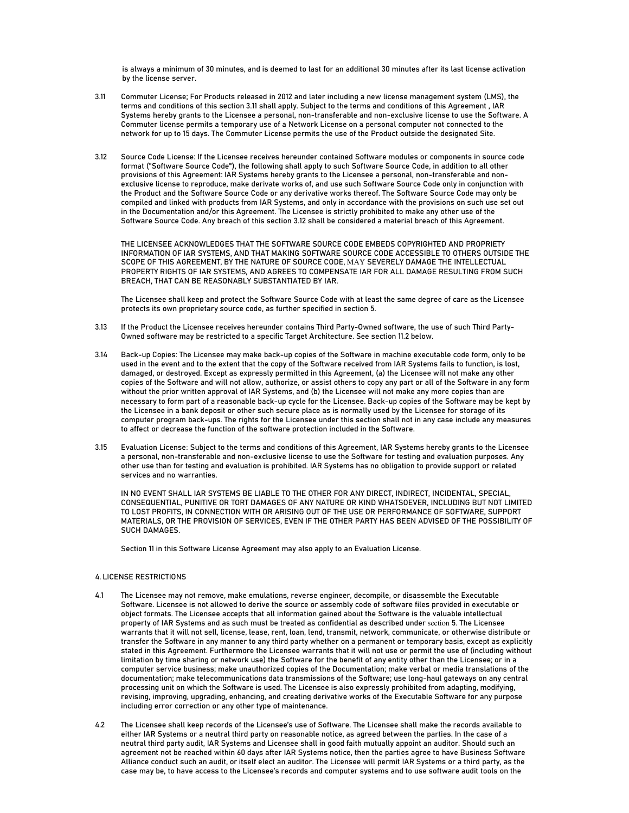is always a minimum of 30 minutes, and is deemed to last for an additional 30 minutes after its last license activation by the license server.

- 3.11 Commuter License; For Products released in 2012 and later including a new license management system (LMS), the terms and conditions of this section 3.11 shall apply. Subject to the terms and conditions of this Agreement , IAR Systems hereby grants to the Licensee a personal, non-transferable and non-exclusive license to use the Software. A Commuter license permits a temporary use of a Network License on a personal computer not connected to the network for up to 15 days. The Commuter License permits the use of the Product outside the designated Site.
- 3.12 Source Code License: If the Licensee receives hereunder contained Software modules or components in source code format ("Software Source Code"), the following shall apply to such Software Source Code, in addition to all other provisions of this Agreement: IAR Systems hereby grants to the Licensee a personal, non-transferable and nonexclusive license to reproduce, make derivate works of, and use such Software Source Code only in conjunction with the Product and the Software Source Code or any derivative works thereof. The Software Source Code may only be compiled and linked with products from IAR Systems, and only in accordance with the provisions on such use set out in the Documentation and/or this Agreement. The Licensee is strictly prohibited to make any other use of the Software Source Code. Any breach of this section 3.12 shall be considered a material breach of this Agreement.

THE LICENSEE ACKNOWLEDGES THAT THE SOFTWARE SOURCE CODE EMBEDS COPYRIGHTED AND PROPRIETY INFORMATION OF IAR SYSTEMS, AND THAT MAKING SOFTWARE SOURCE CODE ACCESSIBLE TO OTHERS OUTSIDE THE SCOPE OF THIS AGREEMENT, BY THE NATURE OF SOURCE CODE, MAY SEVERELY DAMAGE THE INTELLECTUAL PROPERTY RIGHTS OF IAR SYSTEMS, AND AGREES TO COMPENSATE IAR FOR ALL DAMAGE RESULTING FROM SUCH BREACH, THAT CAN BE REASONABLY SUBSTANTIATED BY IAR.

The Licensee shall keep and protect the Software Source Code with at least the same degree of care as the Licensee protects its own proprietary source code, as further specified in section 5.

- 3.13 If the Product the Licensee receives hereunder contains Third Party-Owned software, the use of such Third Party-Owned software may be restricted to a specific Target Architecture. See section 11.2 below.
- 3.14 Back-up Copies: The Licensee may make back-up copies of the Software in machine executable code form, only to be used in the event and to the extent that the copy of the Software received from IAR Systems fails to function, is lost, damaged, or destroyed. Except as expressly permitted in this Agreement, (a) the Licensee will not make any other copies of the Software and will not allow, authorize, or assist others to copy any part or all of the Software in any form without the prior written approval of IAR Systems, and (b) the Licensee will not make any more copies than are necessary to form part of a reasonable back-up cycle for the Licensee. Back-up copies of the Software may be kept by the Licensee in a bank deposit or other such secure place as is normally used by the Licensee for storage of its computer program back-ups. The rights for the Licensee under this section shall not in any case include any measures to affect or decrease the function of the software protection included in the Software.
- 3.15 Evaluation License: Subject to the terms and conditions of this Agreement, IAR Systems hereby grants to the Licensee a personal, non-transferable and non-exclusive license to use the Software for testing and evaluation purposes. Any other use than for testing and evaluation is prohibited. IAR Systems has no obligation to provide support or related services and no warranties.

IN NO EVENT SHALL IAR SYSTEMS BE LIABLE TO THE OTHER FOR ANY DIRECT, INDIRECT, INCIDENTAL, SPECIAL, CONSEQUENTIAL, PUNITIVE OR TORT DAMAGES OF ANY NATURE OR KIND WHATSOEVER, INCLUDING BUT NOT LIMITED TO LOST PROFITS, IN CONNECTION WITH OR ARISING OUT OF THE USE OR PERFORMANCE OF SOFTWARE, SUPPORT MATERIALS, OR THE PROVISION OF SERVICES, EVEN IF THE OTHER PARTY HAS BEEN ADVISED OF THE POSSIBILITY OF SUCH DAMAGES.

Section 11 in this Software License Agreement may also apply to an Evaluation License.

# 4. LICENSE RESTRICTIONS

- 4.1 The Licensee may not remove, make emulations, reverse engineer, decompile, or disassemble the Executable Software. Licensee is not allowed to derive the source or assembly code of software files provided in executable or object formats. The Licensee accepts that all information gained about the Software is the valuable intellectual property of IAR Systems and as such must be treated as confidential as described under section 5. The Licensee warrants that it will not sell, license, lease, rent, loan, lend, transmit, network, communicate, or otherwise distribute or transfer the Software in any manner to any third party whether on a permanent or temporary basis, except as explicitly stated in this Agreement. Furthermore the Licensee warrants that it will not use or permit the use of (including without limitation by time sharing or network use) the Software for the benefit of any entity other than the Licensee; or in a computer service business; make unauthorized copies of the Documentation; make verbal or media translations of the documentation; make telecommunications data transmissions of the Software; use long-haul gateways on any central processing unit on which the Software is used. The Licensee is also expressly prohibited from adapting, modifying, revising, improving, upgrading, enhancing, and creating derivative works of the Executable Software for any purpose including error correction or any other type of maintenance.
- 4.2 The Licensee shall keep records of the Licensee's use of Software. The Licensee shall make the records available to either IAR Systems or a neutral third party on reasonable notice, as agreed between the parties. In the case of a neutral third party audit, IAR Systems and Licensee shall in good faith mutually appoint an auditor. Should such an agreement not be reached within 60 days after IAR Systems notice, then the parties agree to have Business Software Alliance conduct such an audit, or itself elect an auditor. The Licensee will permit IAR Systems or a third party, as the case may be, to have access to the Licensee's records and computer systems and to use software audit tools on the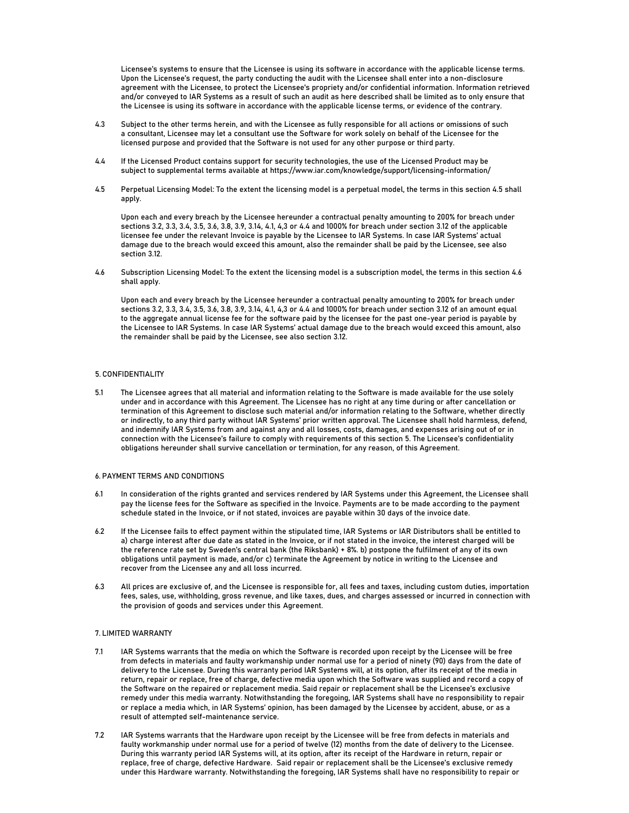Licensee's systems to ensure that the Licensee is using its software in accordance with the applicable license terms. Upon the Licensee's request, the party conducting the audit with the Licensee shall enter into a non-disclosure agreement with the Licensee, to protect the Licensee's propriety and/or confidential information. Information retrieved and/or conveyed to IAR Systems as a result of such an audit as here described shall be limited as to only ensure that the Licensee is using its software in accordance with the applicable license terms, or evidence of the contrary.

- 4.3 Subject to the other terms herein, and with the Licensee as fully responsible for all actions or omissions of such a consultant, Licensee may let a consultant use the Software for work solely on behalf of the Licensee for the licensed purpose and provided that the Software is not used for any other purpose or third party.
- 4.4 If the Licensed Product contains support for security technologies, the use of the Licensed Product may be subject to supplemental terms available at https://www.iar.com/knowledge/support/licensing-information/
- 4.5 Perpetual Licensing Model: To the extent the licensing model is a perpetual model, the terms in this section 4.5 shall apply.

Upon each and every breach by the Licensee hereunder a contractual penalty amounting to 200% for breach under sections 3.2, 3.3, 3.4, 3.5, 3.6, 3.8, 3.9, 3.14, 4.1, 4,3 or 4.4 and 1000% for breach under section 3.12 of the applicable licensee fee under the relevant Invoice is payable by the Licensee to IAR Systems. In case IAR Systems' actual damage due to the breach would exceed this amount, also the remainder shall be paid by the Licensee, see also section 3.12.

4.6 Subscription Licensing Model: To the extent the licensing model is a subscription model, the terms in this section 4.6 shall apply.

Upon each and every breach by the Licensee hereunder a contractual penalty amounting to 200% for breach under sections 3.2, 3.3, 3.4, 3.5, 3.6, 3.8, 3.9, 3.14, 4.1, 4,3 or 4.4 and 1000% for breach under section 3.12 of an amount equal to the aggregate annual license fee for the software paid by the licensee for the past one-year period is payable by the Licensee to IAR Systems. In case IAR Systems' actual damage due to the breach would exceed this amount, also the remainder shall be paid by the Licensee, see also section 3.12.

# 5. CONFIDENTIALITY

5.1 The Licensee agrees that all material and information relating to the Software is made available for the use solely under and in accordance with this Agreement. The Licensee has no right at any time during or after cancellation or termination of this Agreement to disclose such material and/or information relating to the Software, whether directly or indirectly, to any third party without IAR Systems' prior written approval. The Licensee shall hold harmless, defend, and indemnify IAR Systems from and against any and all losses, costs, damages, and expenses arising out of or in connection with the Licensee's failure to comply with requirements of this section 5. The Licensee's confidentiality obligations hereunder shall survive cancellation or termination, for any reason, of this Agreement.

# 6. PAYMENT TERMS AND CONDITIONS

- 6.1 In consideration of the rights granted and services rendered by IAR Systems under this Agreement, the Licensee shall pay the license fees for the Software as specified in the Invoice. Payments are to be made according to the payment schedule stated in the Invoice, or if not stated, invoices are payable within 30 days of the invoice date.
- 6.2 If the Licensee fails to effect payment within the stipulated time, IAR Systems or IAR Distributors shall be entitled to a) charge interest after due date as stated in the Invoice, or if not stated in the invoice, the interest charged will be the reference rate set by Sweden's central bank (the Riksbank) + 8%. b) postpone the fulfilment of any of its own obligations until payment is made, and/or c) terminate the Agreement by notice in writing to the Licensee and recover from the Licensee any and all loss incurred.
- 6.3 All prices are exclusive of, and the Licensee is responsible for, all fees and taxes, including custom duties, importation fees, sales, use, withholding, gross revenue, and like taxes, dues, and charges assessed or incurred in connection with the provision of goods and services under this Agreement.

# 7. LIMITED WARRANTY

- 7.1 IAR Systems warrants that the media on which the Software is recorded upon receipt by the Licensee will be free from defects in materials and faulty workmanship under normal use for a period of ninety (90) days from the date of delivery to the Licensee. During this warranty period IAR Systems will, at its option, after its receipt of the media in return, repair or replace, free of charge, defective media upon which the Software was supplied and record a copy of the Software on the repaired or replacement media. Said repair or replacement shall be the Licensee's exclusive remedy under this media warranty. Notwithstanding the foregoing, IAR Systems shall have no responsibility to repair or replace a media which, in IAR Systems' opinion, has been damaged by the Licensee by accident, abuse, or as a result of attempted self-maintenance service.
- 7.2 IAR Systems warrants that the Hardware upon receipt by the Licensee will be free from defects in materials and faulty workmanship under normal use for a period of twelve (12) months from the date of delivery to the Licensee. During this warranty period IAR Systems will, at its option, after its receipt of the Hardware in return, repair or replace, free of charge, defective Hardware. Said repair or replacement shall be the Licensee's exclusive remedy under this Hardware warranty. Notwithstanding the foregoing, IAR Systems shall have no responsibility to repair or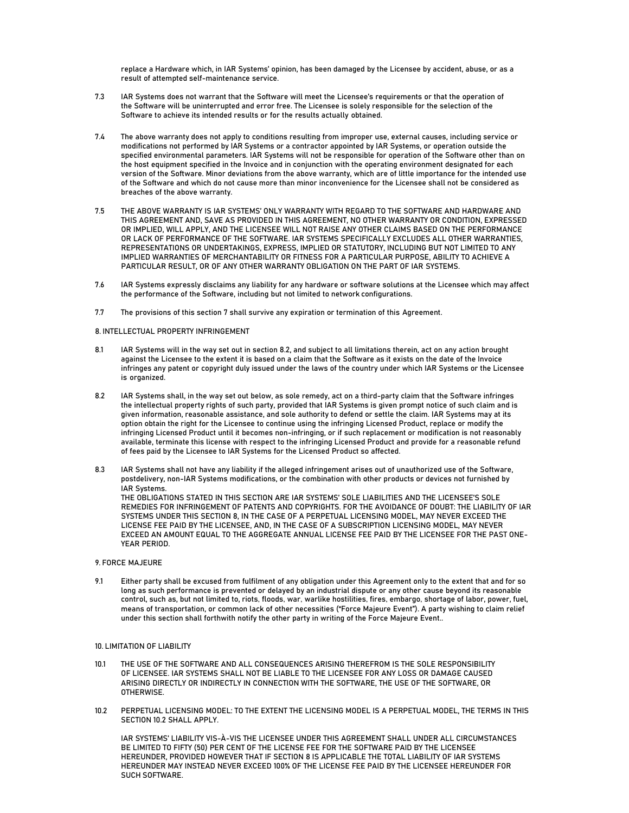replace a Hardware which, in IAR Systems' opinion, has been damaged by the Licensee by accident, abuse, or as a result of attempted self-maintenance service.

- 7.3 IAR Systems does not warrant that the Software will meet the Licensee's requirements or that the operation of the Software will be uninterrupted and error free. The Licensee is solely responsible for the selection of the Software to achieve its intended results or for the results actually obtained.
- 7.4 The above warranty does not apply to conditions resulting from improper use, external causes, including service or modifications not performed by IAR Systems or a contractor appointed by IAR Systems, or operation outside the specified environmental parameters. IAR Systems will not be responsible for operation of the Software other than on the host equipment specified in the Invoice and in conjunction with the operating environment designated for each version of the Software. Minor deviations from the above warranty, which are of little importance for the intended use of the Software and which do not cause more than minor inconvenience for the Licensee shall not be considered as breaches of the above warranty.
- 7.5 THE ABOVE WARRANTY IS IAR SYSTEMS' ONLY WARRANTY WITH REGARD TO THE SOFTWARE AND HARDWARE AND THIS AGREEMENT AND, SAVE AS PROVIDED IN THIS AGREEMENT, NO OTHER WARRANTY OR CONDITION, EXPRESSED OR IMPLIED, WILL APPLY, AND THE LICENSEE WILL NOT RAISE ANY OTHER CLAIMS BASED ON THE PERFORMANCE OR LACK OF PERFORMANCE OF THE SOFTWARE. IAR SYSTEMS SPECIFICALLY EXCLUDES ALL OTHER WARRANTIES, REPRESENTATIONS OR UNDERTAKINGS, EXPRESS, IMPLIED OR STATUTORY, INCLUDING BUT NOT LIMITED TO ANY IMPLIED WARRANTIES OF MERCHANTABILITY OR FITNESS FOR A PARTICULAR PURPOSE, ABILITY TO ACHIEVE A PARTICULAR RESULT, OR OF ANY OTHER WARRANTY OBLIGATION ON THE PART OF IAR SYSTEMS.
- 7.6 IAR Systems expressly disclaims any liability for any hardware or software solutions at the Licensee which may affect the performance of the Software, including but not limited to network configurations.
- 7.7 The provisions of this section 7 shall survive any expiration or termination of this Agreement.

#### 8. INTELLECTUAL PROPERTY INFRINGEMENT

- 8.1 IAR Systems will in the way set out in section 8.2, and subject to all limitations therein, act on any action brought against the Licensee to the extent it is based on a claim that the Software as it exists on the date of the Invoice infringes any patent or copyright duly issued under the laws of the country under which IAR Systems or the Licensee is organized.
- 8.2 IAR Systems shall, in the way set out below, as sole remedy, act on a third-party claim that the Software infringes the intellectual property rights of such party, provided that IAR Systems is given prompt notice of such claim and is given information, reasonable assistance, and sole authority to defend or settle the claim. IAR Systems may at its option obtain the right for the Licensee to continue using the infringing Licensed Product, replace or modify the infringing Licensed Product until it becomes non-infringing, or if such replacement or modification is not reasonably available, terminate this license with respect to the infringing Licensed Product and provide for a reasonable refund of fees paid by the Licensee to IAR Systems for the Licensed Product so affected.
- 8.3 IAR Systems shall not have any liability if the alleged infringement arises out of unauthorized use of the Software, postdelivery, non-IAR Systems modifications, or the combination with other products or devices not furnished by IAR Systems. THE OBLIGATIONS STATED IN THIS SECTION ARE IAR SYSTEMS' SOLE LIABILITIES AND THE LICENSEE'S SOLE REMEDIES FOR INFRINGEMENT OF PATENTS AND COPYRIGHTS. FOR THE AVOIDANCE OF DOUBT: THE LIABILITY OF IAR SYSTEMS UNDER THIS SECTION 8, IN THE CASE OF A PERPETUAL LICENSING MODEL, MAY NEVER EXCEED THE LICENSE FEE PAID BY THE LICENSEE, AND, IN THE CASE OF A SUBSCRIPTION LICENSING MODEL, MAY NEVER EXCEED AN AMOUNT EQUAL TO THE AGGREGATE ANNUAL LICENSE FEE PAID BY THE LICENSEE FOR THE PAST ONE-YEAR PERIOD.

# 9. FORCE MAJEURE

9.1 Either party shall be excused from fulfilment of any obligation under this Agreement only to the extent that and for so long as such performance is prevented or delayed by an industrial dispute or any other cause beyond its reasonable control, such as, but not limited to, riots, floods, war, warlike hostilities, fires, embargo, shortage of labor, power, fuel, means of transportation, or common lack of other necessities ("Force Majeure Event"). A party wishing to claim relief under this section shall forthwith notify the other party in writing of the Force Majeure Event..

# 10. LIMITATION OF LIABILITY

- 10.1 THE USE OF THE SOFTWARE AND ALL CONSEQUENCES ARISING THEREFROM IS THE SOLE RESPONSIBILITY OF LICENSEE. IAR SYSTEMS SHALL NOT BE LIABLE TO THE LICENSEE FOR ANY LOSS OR DAMAGE CAUSED ARISING DIRECTLY OR INDIRECTLY IN CONNECTION WITH THE SOFTWARE, THE USE OF THE SOFTWARE, OR OTHERWISE.
- 10.2 PERPETUAL LICENSING MODEL: TO THE EXTENT THE LICENSING MODEL IS A PERPETUAL MODEL, THE TERMS IN THIS SECTION 10.2 SHALL APPLY.

IAR SYSTEMS' LIABILITY VIS-À-VIS THE LICENSEE UNDER THIS AGREEMENT SHALL UNDER ALL CIRCUMSTANCES BE LIMITED TO FIFTY (50) PER CENT OF THE LICENSE FEE FOR THE SOFTWARE PAID BY THE LICENSEE HEREUNDER, PROVIDED HOWEVER THAT IF SECTION 8 IS APPLICABLE THE TOTAL LIABILITY OF IAR SYSTEMS HEREUNDER MAY INSTEAD NEVER EXCEED 100% OF THE LICENSE FEE PAID BY THE LICENSEE HEREUNDER FOR SUCH SOFTWARE.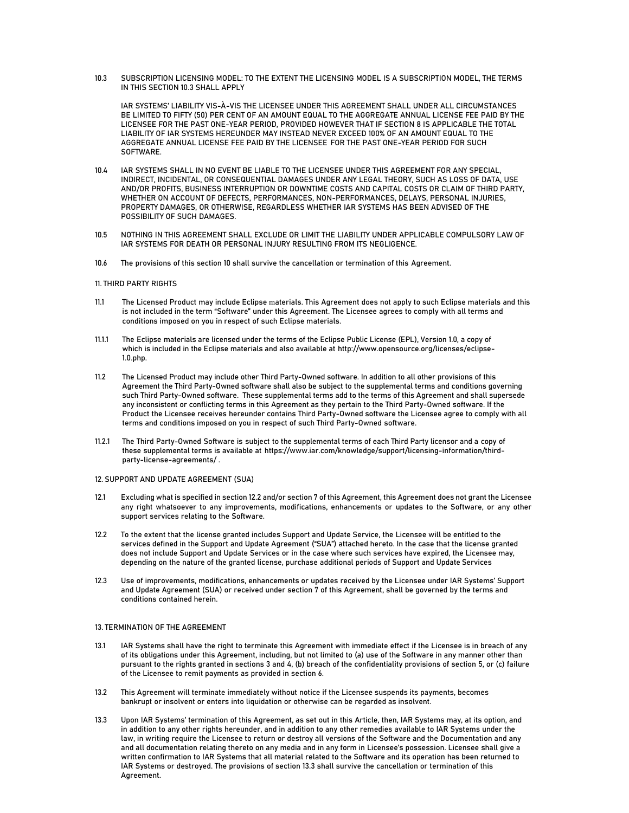10.3 SUBSCRIPTION LICENSING MODEL: TO THE EXTENT THE LICENSING MODEL IS A SUBSCRIPTION MODEL, THE TERMS IN THIS SECTION 10.3 SHALL APPLY

IAR SYSTEMS' LIABILITY VIS-À-VIS THE LICENSEE UNDER THIS AGREEMENT SHALL UNDER ALL CIRCUMSTANCES BE LIMITED TO FIFTY (50) PER CENT OF AN AMOUNT EQUAL TO THE AGGREGATE ANNUAL LICENSE FEE PAID BY THE LICENSEE FOR THE PAST ONE-YEAR PERIOD, PROVIDED HOWEVER THAT IF SECTION 8 IS APPLICABLE THE TOTAL LIABILITY OF IAR SYSTEMS HEREUNDER MAY INSTEAD NEVER EXCEED 100% OF AN AMOUNT EQUAL TO THE AGGREGATE ANNUAL LICENSE FEE PAID BY THE LICENSEE FOR THE PAST ONE-YEAR PERIOD FOR SUCH SOFTWARE.

- 10.4 IAR SYSTEMS SHALL IN NO EVENT BE LIABLE TO THE LICENSEE UNDER THIS AGREEMENT FOR ANY SPECIAL, INDIRECT, INCIDENTAL, OR CONSEQUENTIAL DAMAGES UNDER ANY LEGAL THEORY, SUCH AS LOSS OF DATA, USE AND/OR PROFITS, BUSINESS INTERRUPTION OR DOWNTIME COSTS AND CAPITAL COSTS OR CLAIM OF THIRD PARTY, WHETHER ON ACCOUNT OF DEFECTS, PERFORMANCES, NON-PERFORMANCES, DELAYS, PERSONAL INJURIES, PROPERTY DAMAGES, OR OTHERWISE, REGARDLESS WHETHER IAR SYSTEMS HAS BEEN ADVISED OF THE POSSIBILITY OF SUCH DAMAGES.
- 10.5 NOTHING IN THIS AGREEMENT SHALL EXCLUDE OR LIMIT THE LIABILITY UNDER APPLICABLE COMPULSORY LAW OF IAR SYSTEMS FOR DEATH OR PERSONAL INJURY RESULTING FROM ITS NEGLIGENCE.
- 10.6 The provisions of this section 10 shall survive the cancellation or termination of this Agreement.

# 11. THIRD PARTY RIGHTS

- 11.1 The Licensed Product may include Eclipse materials. This Agreement does not apply to such Eclipse materials and this is not included in the term "Software" under this Agreement. The Licensee agrees to comply with all terms and conditions imposed on you in respect of such Eclipse materials.
- 11.1.1 The Eclipse materials are licensed under the terms of the Eclipse Public License (EPL), Version 1.0, a copy of which is included in the Eclipse materials and also available at http://www.opensource.org/licenses/eclipse-1.0.php.
- 11.2 The Licensed Product may include other Third Party-Owned software. In addition to all other provisions of this Agreement the Third Party-Owned software shall also be subject to the supplemental terms and conditions governing such Third Party-Owned software. These supplemental terms add to the terms of this Agreement and shall supersede any inconsistent or conflicting terms in this Agreement as they pertain to the Third Party-Owned software. If the Product the Licensee receives hereunder contains Third Party-Owned software the Licensee agree to comply with all terms and conditions imposed on you in respect of such Third Party-Owned software.
- 11.2.1 The Third Party-Owned Software is subject to the supplemental terms of each Third Party licensor and a copy of these supplemental terms is available at https://www.iar.com/knowledge/support/licensing-information/thirdparty-license-agreements/ .

#### 12. SUPPORT AND UPDATE AGREEMENT (SUA)

- 12.1 Excluding what is specified in section 12.2 and/or section 7 of this Agreement, this Agreement does not grant the Licensee any right whatsoever to any improvements, modifications, enhancements or updates to the Software, or any other support services relating to the Software.
- 12.2 To the extent that the license granted includes Support and Update Service, the Licensee will be entitled to the services defined in the Support and Update Agreement ("SUA") attached hereto. In the case that the license granted does not include Support and Update Services or in the case where such services have expired, the Licensee may, depending on the nature of the granted license, purchase additional periods of Support and Update Services
- 12.3 Use of improvements, modifications, enhancements or updates received by the Licensee under IAR Systems' Support and Update Agreement (SUA) or received under section 7 of this Agreement, shall be governed by the terms and conditions contained herein.

# 13. TERMINATION OF THE AGREEMENT

- 13.1 IAR Systems shall have the right to terminate this Agreement with immediate effect if the Licensee is in breach of any of its obligations under this Agreement, including, but not limited to (a) use of the Software in any manner other than pursuant to the rights granted in sections 3 and 4, (b) breach of the confidentiality provisions of section 5, or (c) failure of the Licensee to remit payments as provided in section 6.
- 13.2 This Agreement will terminate immediately without notice if the Licensee suspends its payments, becomes bankrupt or insolvent or enters into liquidation or otherwise can be regarded as insolvent.
- 13.3 Upon IAR Systems' termination of this Agreement, as set out in this Article, then, IAR Systems may, at its option, and in addition to any other rights hereunder, and in addition to any other remedies available to IAR Systems under the law, in writing require the Licensee to return or destroy all versions of the Software and the Documentation and any and all documentation relating thereto on any media and in any form in Licensee's possession. Licensee shall give a written confirmation to IAR Systems that all material related to the Software and its operation has been returned to IAR Systems or destroyed. The provisions of section 13.3 shall survive the cancellation or termination of this Agreement.